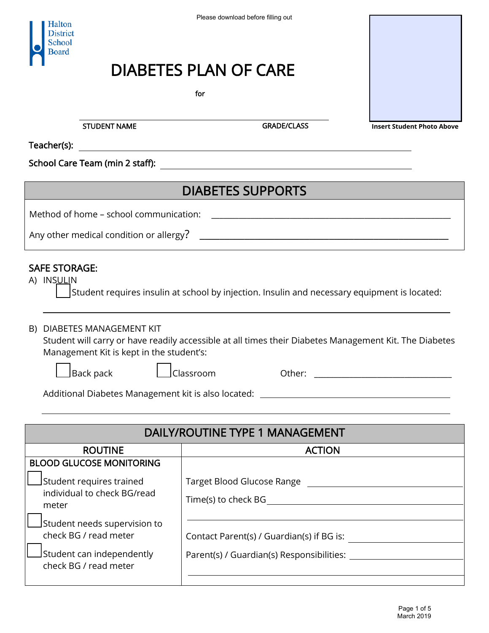## DIABETES PLAN OF CARE

## DIABETES SUPPORTS

## SAFE STORAGE:

|  |  |  | $\Delta$ Student requires insulin at school by injection. Insulin and necessary equipment is located: |
|--|--|--|-------------------------------------------------------------------------------------------------------|
|  |  |  |                                                                                                       |
|  |  |  |                                                                                                       |
|  |  |  |                                                                                                       |

| <b>Halton</b><br>District<br>School<br>Board                                                                                       | Please download before filling out                                                                                    |                                   |  |  |  |  |
|------------------------------------------------------------------------------------------------------------------------------------|-----------------------------------------------------------------------------------------------------------------------|-----------------------------------|--|--|--|--|
|                                                                                                                                    | DIABETES PLAN OF CARE                                                                                                 |                                   |  |  |  |  |
|                                                                                                                                    | for                                                                                                                   |                                   |  |  |  |  |
| <b>STUDENT NAME</b>                                                                                                                | <b>GRADE/CLASS</b>                                                                                                    | <b>Insert Student Photo Above</b> |  |  |  |  |
| Teacher(s):                                                                                                                        | <u> 1980 - Johann Barn, mars ann an t-Amhain Aonaich an t-Aonaich an t-Aonaich ann an t-Aonaich ann an t-Aonaich</u>  |                                   |  |  |  |  |
| School Care Team (min 2 staff):                                                                                                    | <u> 1989 - Johann Barbara, martxa amerikan bashkar (</u>                                                              |                                   |  |  |  |  |
|                                                                                                                                    | <b>DIABETES SUPPORTS</b>                                                                                              |                                   |  |  |  |  |
| Method of home - school communication:                                                                                             | <u> 1989 - Johann John Stein, skrivatsk politik († 1958)</u>                                                          |                                   |  |  |  |  |
| Any other medical condition or allergy?                                                                                            | <u> 1989 - Johann Harry Harry Harry Harry Harry Harry Harry Harry Harry Harry Harry Harry Harry Harry Harry Harry</u> |                                   |  |  |  |  |
|                                                                                                                                    |                                                                                                                       |                                   |  |  |  |  |
| <b>SAFE STORAGE:</b><br>A) INSULIN<br>Student requires insulin at school by injection. Insulin and necessary equipment is located: |                                                                                                                       |                                   |  |  |  |  |
| DIABETES MANAGEMENT KIT<br>B)<br>Management Kit is kept in the student's:                                                          | Student will carry or have readily accessible at all times their Diabetes Management Kit. The Diabetes                |                                   |  |  |  |  |
| $\Box$ Back pack                                                                                                                   | $\Box$ Classroom<br>Other:                                                                                            |                                   |  |  |  |  |
|                                                                                                                                    |                                                                                                                       |                                   |  |  |  |  |
|                                                                                                                                    |                                                                                                                       |                                   |  |  |  |  |
|                                                                                                                                    | DAILY/ROUTINE TYPE 1 MANAGEMENT                                                                                       |                                   |  |  |  |  |
| <b>ROUTINE</b>                                                                                                                     | <b>ACTION</b>                                                                                                         |                                   |  |  |  |  |
| <b>BLOOD GLUCOSE MONITORING</b>                                                                                                    |                                                                                                                       |                                   |  |  |  |  |
| Student requires trained<br>individual to check BG/read                                                                            |                                                                                                                       |                                   |  |  |  |  |
| meter                                                                                                                              |                                                                                                                       |                                   |  |  |  |  |
| Student needs supervision to                                                                                                       |                                                                                                                       |                                   |  |  |  |  |
| check BG / read meter                                                                                                              |                                                                                                                       |                                   |  |  |  |  |
| Student can independently<br>check BG / read meter                                                                                 |                                                                                                                       |                                   |  |  |  |  |
|                                                                                                                                    |                                                                                                                       | Page 1 of 5                       |  |  |  |  |

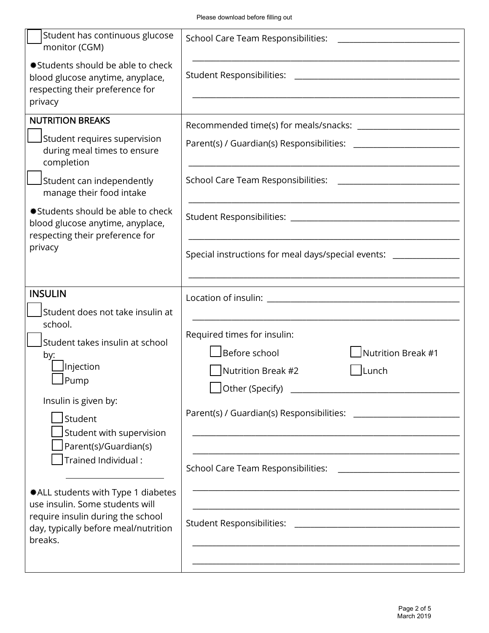|                                                                                                                                                                                                                                                                                                                                                            | Please download before filling out                                                                    |  |  |
|------------------------------------------------------------------------------------------------------------------------------------------------------------------------------------------------------------------------------------------------------------------------------------------------------------------------------------------------------------|-------------------------------------------------------------------------------------------------------|--|--|
| Student has continuous glucose<br>monitor (CGM)                                                                                                                                                                                                                                                                                                            | <b>School Care Team Responsibilities:</b>                                                             |  |  |
| *Students should be able to check<br>blood glucose anytime, anyplace,<br>respecting their preference for<br>privacy                                                                                                                                                                                                                                        |                                                                                                       |  |  |
| <b>NUTRITION BREAKS</b>                                                                                                                                                                                                                                                                                                                                    |                                                                                                       |  |  |
| Student requires supervision<br>during meal times to ensure<br>completion                                                                                                                                                                                                                                                                                  |                                                                                                       |  |  |
| Student can independently<br>manage their food intake                                                                                                                                                                                                                                                                                                      | School Care Team Responsibilities:                                                                    |  |  |
| *Students should be able to check<br>blood glucose anytime, anyplace,<br>respecting their preference for                                                                                                                                                                                                                                                   |                                                                                                       |  |  |
| privacy                                                                                                                                                                                                                                                                                                                                                    | Special instructions for meal days/special events: ________________                                   |  |  |
| <b>INSULIN</b>                                                                                                                                                                                                                                                                                                                                             |                                                                                                       |  |  |
| Student does not take insulin at                                                                                                                                                                                                                                                                                                                           |                                                                                                       |  |  |
| school.<br>Student takes insulin at school<br>by:<br>Injection<br>Pump<br>Insulin is given by:<br>$J$ Student<br>Student with supervision<br>Parent(s)/Guardian(s)<br>Trained Individual:<br>*ALL students with Type 1 diabetes<br>use insulin. Some students will<br>require insulin during the school<br>day, typically before meal/nutrition<br>breaks. | Required times for insulin:<br>Before school<br>Nutrition Break #1<br>$J$ Lunch<br>Nutrition Break #2 |  |  |
|                                                                                                                                                                                                                                                                                                                                                            |                                                                                                       |  |  |
|                                                                                                                                                                                                                                                                                                                                                            | Page 2 of 5                                                                                           |  |  |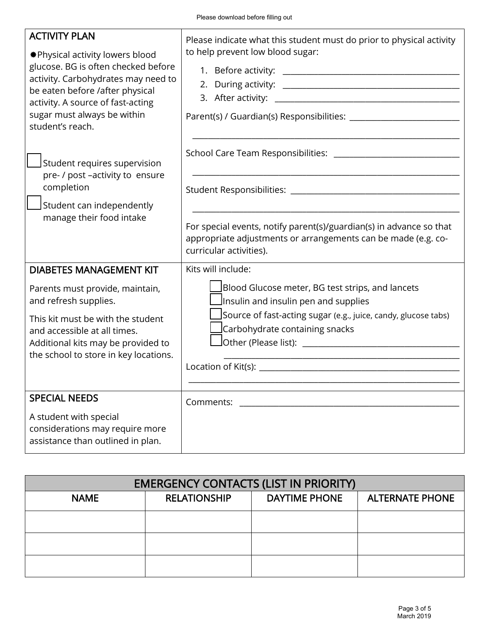| Please download before filling out                                                                                                                                                                                                                                                                                                  |  |                                                                                                                                                                                                                                 |                      |                        |  |
|-------------------------------------------------------------------------------------------------------------------------------------------------------------------------------------------------------------------------------------------------------------------------------------------------------------------------------------|--|---------------------------------------------------------------------------------------------------------------------------------------------------------------------------------------------------------------------------------|----------------------|------------------------|--|
| <b>ACTIVITY PLAN</b><br>*Physical activity lowers blood<br>glucose. BG is often checked before<br>activity. Carbohydrates may need to<br>be eaten before /after physical<br>activity. A source of fast-acting<br>sugar must always be within<br>student's reach.                                                                    |  | Please indicate what this student must do prior to physical activity<br>to help prevent low blood sugar:                                                                                                                        |                      |                        |  |
| Student requires supervision<br>pre- / post -activity to ensure<br>completion<br>Student can independently<br>manage their food intake                                                                                                                                                                                              |  | School Care Team Responsibilities: ___________________<br>For special events, notify parent(s)/guardian(s) in advance so that<br>appropriate adjustments or arrangements can be made (e.g. co-<br>curricular activities).       |                      |                        |  |
| <b>DIABETES MANAGEMENT KIT</b><br>Parents must provide, maintain,<br>and refresh supplies.<br>This kit must be with the student<br>and accessible at all times.<br>Additional kits may be provided to<br>the school to store in key locations.<br><b>SPECIAL NEEDS</b><br>A student with special<br>considerations may require more |  | Kits will include:<br>Blood Glucose meter, BG test strips, and lancets<br>Insulin and insulin pen and supplies<br>Source of fast-acting sugar (e.g., juice, candy, glucose tabs)<br>Carbohydrate containing snacks<br>Comments: |                      |                        |  |
| assistance than outlined in plan.                                                                                                                                                                                                                                                                                                   |  |                                                                                                                                                                                                                                 |                      |                        |  |
| <b>EMERGENCY CONTACTS (LIST IN PRIORITY)</b>                                                                                                                                                                                                                                                                                        |  |                                                                                                                                                                                                                                 |                      |                        |  |
| <b>NAME</b>                                                                                                                                                                                                                                                                                                                         |  | <b>RELATIONSHIP</b>                                                                                                                                                                                                             | <b>DAYTIME PHONE</b> | <b>ALTERNATE PHONE</b> |  |
|                                                                                                                                                                                                                                                                                                                                     |  |                                                                                                                                                                                                                                 |                      |                        |  |
|                                                                                                                                                                                                                                                                                                                                     |  |                                                                                                                                                                                                                                 |                      |                        |  |
|                                                                                                                                                                                                                                                                                                                                     |  |                                                                                                                                                                                                                                 |                      |                        |  |
|                                                                                                                                                                                                                                                                                                                                     |  |                                                                                                                                                                                                                                 |                      | Page 3 of 5            |  |

| <b>EMERGENCY CONTACTS (LIST IN PRIORITY)</b> |                     |               |                        |  |
|----------------------------------------------|---------------------|---------------|------------------------|--|
| <b>NAME</b>                                  | <b>RELATIONSHIP</b> | DAYTIME PHONE | <b>ALTERNATE PHONE</b> |  |
|                                              |                     |               |                        |  |
|                                              |                     |               |                        |  |
|                                              |                     |               |                        |  |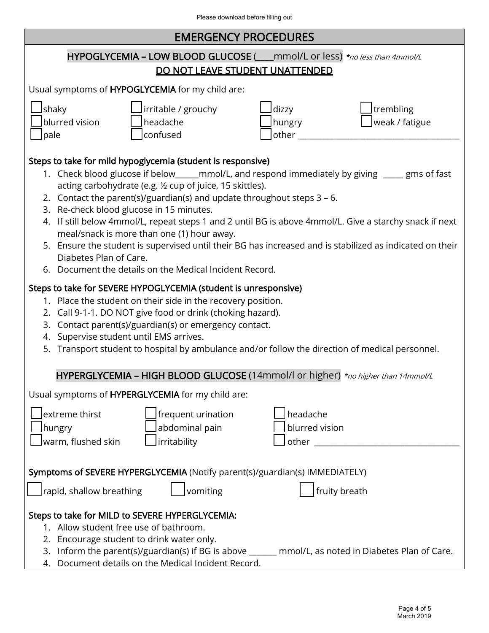Г

| Please download before filling out                                                                                                                                                                                                                                                                                                                                                                                                                                                                                                                                                                                                                                                                             |  |  |  |  |  |
|----------------------------------------------------------------------------------------------------------------------------------------------------------------------------------------------------------------------------------------------------------------------------------------------------------------------------------------------------------------------------------------------------------------------------------------------------------------------------------------------------------------------------------------------------------------------------------------------------------------------------------------------------------------------------------------------------------------|--|--|--|--|--|
| <b>EMERGENCY PROCEDURES</b>                                                                                                                                                                                                                                                                                                                                                                                                                                                                                                                                                                                                                                                                                    |  |  |  |  |  |
| HYPOGLYCEMIA - LOW BLOOD GLUCOSE (___mmol/L or less) *no less than 4mmol/L                                                                                                                                                                                                                                                                                                                                                                                                                                                                                                                                                                                                                                     |  |  |  |  |  |
| DO NOT LEAVE STUDENT UNATTENDED                                                                                                                                                                                                                                                                                                                                                                                                                                                                                                                                                                                                                                                                                |  |  |  |  |  |
| Usual symptoms of HYPOGLYCEMIA for my child are:                                                                                                                                                                                                                                                                                                                                                                                                                                                                                                                                                                                                                                                               |  |  |  |  |  |
| shaky<br>irritable / grouchy<br>trembling<br>_dizzy<br>blurred vision<br>headache<br>weak / fatigue<br>hungry<br>confused<br>pale<br>other                                                                                                                                                                                                                                                                                                                                                                                                                                                                                                                                                                     |  |  |  |  |  |
| Steps to take for mild hypoglycemia (student is responsive)<br>1. Check blood glucose if below_____mmol/L, and respond immediately by giving ____ gms of fast<br>acting carbohydrate (e.g. 1/2 cup of juice, 15 skittles).<br>2. Contact the parent(s)/guardian(s) and update throughout steps $3 - 6$ .<br>3. Re-check blood glucose in 15 minutes.<br>4. If still below 4mmol/L, repeat steps 1 and 2 until BG is above 4mmol/L. Give a starchy snack if next<br>meal/snack is more than one (1) hour away.<br>5. Ensure the student is supervised until their BG has increased and is stabilized as indicated on their<br>Diabetes Plan of Care.<br>6. Document the details on the Medical Incident Record. |  |  |  |  |  |
| Steps to take for SEVERE HYPOGLYCEMIA (student is unresponsive)<br>1. Place the student on their side in the recovery position.<br>2. Call 9-1-1. DO NOT give food or drink (choking hazard).<br>Contact parent(s)/guardian(s) or emergency contact.<br>3.<br>4. Supervise student until EMS arrives.<br>Transport student to hospital by ambulance and/or follow the direction of medical personnel.<br>5.                                                                                                                                                                                                                                                                                                    |  |  |  |  |  |
| HYPERGLYCEMIA - HIGH BLOOD GLUCOSE (14mmol/l or higher) *no higher than 14mmol/L                                                                                                                                                                                                                                                                                                                                                                                                                                                                                                                                                                                                                               |  |  |  |  |  |
| Usual symptoms of HYPERGLYCEMIA for my child are:                                                                                                                                                                                                                                                                                                                                                                                                                                                                                                                                                                                                                                                              |  |  |  |  |  |
| headache<br>extreme thirst<br>frequent urination<br>blurred vision<br>abdominal pain<br>hungry<br>irritability<br>warm, flushed skin<br><b>other</b> and the state of the state of the state of the state of the state of the state of the state of the state of the state of the state of the state of the state of the state of the state of the state of the state of th                                                                                                                                                                                                                                                                                                                                    |  |  |  |  |  |
| Symptoms of SEVERE HYPERGLYCEMIA (Notify parent(s)/guardian(s) IMMEDIATELY)<br>rapid, shallow breathing<br>vomiting<br>fruity breath                                                                                                                                                                                                                                                                                                                                                                                                                                                                                                                                                                           |  |  |  |  |  |
| Steps to take for MILD to SEVERE HYPERGLYCEMIA:<br>1. Allow student free use of bathroom.<br>2. Encourage student to drink water only.<br>3. Inform the parent(s)/guardian(s) if BG is above ______ mmol/L, as noted in Diabetes Plan of Care.<br>4. Document details on the Medical Incident Record.                                                                                                                                                                                                                                                                                                                                                                                                          |  |  |  |  |  |
| Page 4 of 5                                                                                                                                                                                                                                                                                                                                                                                                                                                                                                                                                                                                                                                                                                    |  |  |  |  |  |